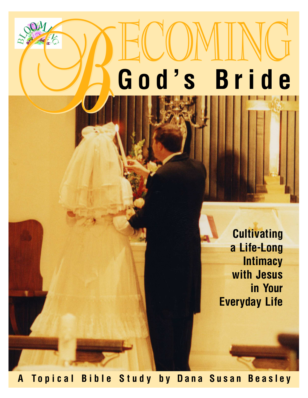# ECOMING **God's Bride** B

**Cultivating a Life-Long Intimacy with Jesus in Your Everyday Life**

**A Topical Bible Study by Dana Susan Beasley**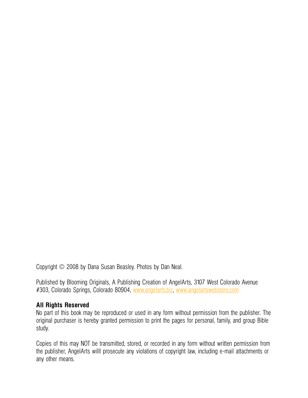Copyright © 2008 by Dana Susan Beasley. Photos by Dan Neal.

Published by Blooming Originals, A Publishing Creation of AngelArts, 3107 West Colorado Avenue #303, Colorado Springs, Colorado 80904, [www.angelarts.biz,](http://www.angelarts.biz) [www.angelartswebstore.com](http://www.angelartswebstore.com)

#### **All Rights Reserved**

No part of this book may be reproduced or used in any form without permission from the publisher. The original purchaser is hereby granted permission to print the pages for personal, family, and group Bible study.

Copies of this may NOT be transmitted, stored, or recorded in any form without written permission from the publisher, AngelArts willl prosecute any violations of copyright law, including e-mail attachments or any other means.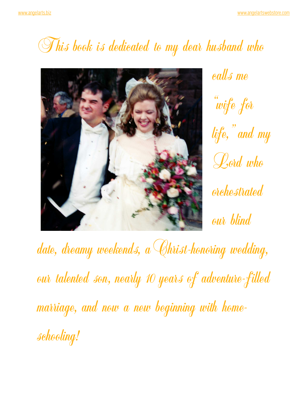### This book is dedicated to my dear husband who



calls me "wife for life," and my Lord who orchestrated our blind

date, dreamy weekends, a Christ-honoring wedding, our talented son, nearly 10 years of adventure-filled marriage, and now a new beginning with homeschooling!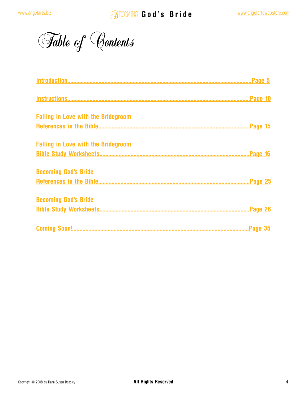Table of Contents

| <b>Falling in Love with the Bridegroom</b> |  |
|--------------------------------------------|--|
|                                            |  |
| <b>Falling in Love with the Bridegroom</b> |  |
|                                            |  |
| <b>Becoming God's Bride</b>                |  |
|                                            |  |
| <b>Becoming God's Bride</b>                |  |
|                                            |  |
|                                            |  |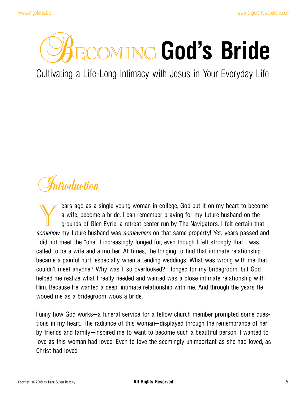## <span id="page-4-0"></span>**COMING God's Bride**

Cultivating a Life-Long Intimacy with Jesus in Your Everyday Life

## Introduction

Example young woman in college, God put it on my heart to become a wife, become a bride. I can remember praying for my future husband on the grounds of Glen Eyrie, a retreat center run by The Navigators. I felt certain tha a wife, become a bride. I can remember praying for my future husband on the grounds of Glen Eyrie, a retreat center run by The Navigators. I felt certain that *somehow* my future husband was *somewhere* on that same property! Yet, years passed and I did not meet the "one" I increasingly longed for, even though I felt strongly that I was called to be a wife and a mother. At times, the longing to find that intimate relationship became a painful hurt, especially when attending weddings. What was wrong with me that I couldn't meet anyone? Why was I so overlooked? I longed for my bridegroom, but God helped me realize what I really needed and wanted was a close intimate relationship with Him. Because He wanted a deep, intimate relationship with me. And through the years He wooed me as a bridegroom woos a bride.

Funny how God works—a funeral service for a fellow church member prompted some questions in my heart. The radiance of this woman—displayed through the remembrance of her by friends and family—inspired me to want to become such a beautiful person. I wanted to love as this woman had loved. Even to love the seemingly unimportant as she had loved, as Christ had loved.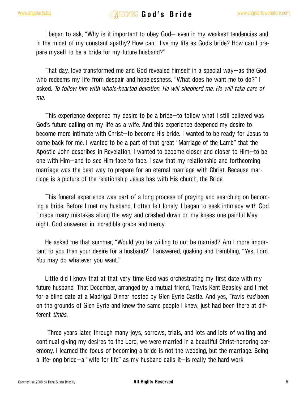I began to ask, "Why is it important to obey God— even in my weakest tendencies and in the midst of my constant apathy? How can I live my life as God's bride? How can I prepare myself to be a bride for my future husband?"

That day, love transformed me and God revealed himself in a special way—as the God who redeems my life from despair and hopelessness. "What does he want me to do?" I asked. *To follow him with whole-hearted devotion. He will shepherd me. He will take care of me.*

This experience deepened my desire to be a bride—to follow what I still believed was God's future calling on my life as a wife. And this experience deepened my desire to become more intimate with Christ—to become His bride. I wanted to be ready for Jesus to come back for me. I wanted to be a part of that great "Marriage of the Lamb" that the Apostle John describes in Revelation. I wanted to become closer and closer to Him—to be one with Him—and to see Him face to face. I saw that my relationship and forthcoming marriage was the best way to prepare for an eternal marriage with Christ. Because marriage is a picture of the relationship Jesus has with His church, the Bride.

This funeral experience was part of a long process of praying and searching on becoming a bride. Before I met my husband, I often felt lonely. I began to seek intimacy with God. I made many mistakes along the way and crashed down on my knees one painful May night. God answered in incredible grace and mercy.

He asked me that summer, "Would you be willing to not be married? Am I more important to you than your desire for a husband?" I answered, quaking and trembling, "Yes, Lord. You may do whatever you want."

Little did I know that at that very time God was orchestrating my first date with my future husband! That December, arranged by a mutual friend, Travis Kent Beasley and I met for a blind date at a Madrigal Dinner hosted by Glen Eyrie Castle. And yes, Travis *had* been on the grounds of Glen Eyrie and knew the same people I knew, just had been there at different *times.*

Three years later, through many joys, sorrows, trials, and lots and lots of waiting and continual giving my desires to the Lord, we were married in a beautiful Christ-honoring ceremony. I learned the focus of becoming a bride is not the wedding, but the marriage. Being a life-long bride—a "wife for life" as my husband calls it—is really the hard work!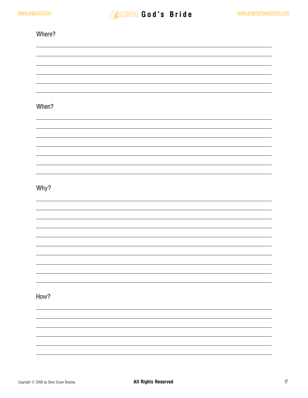| Where? |  |  |  |
|--------|--|--|--|
|        |  |  |  |
|        |  |  |  |
|        |  |  |  |
|        |  |  |  |
| When?  |  |  |  |
|        |  |  |  |
|        |  |  |  |
|        |  |  |  |
|        |  |  |  |
|        |  |  |  |
| Why?   |  |  |  |
|        |  |  |  |
|        |  |  |  |
|        |  |  |  |
|        |  |  |  |
|        |  |  |  |
|        |  |  |  |
|        |  |  |  |
| How?   |  |  |  |
|        |  |  |  |
|        |  |  |  |
|        |  |  |  |
|        |  |  |  |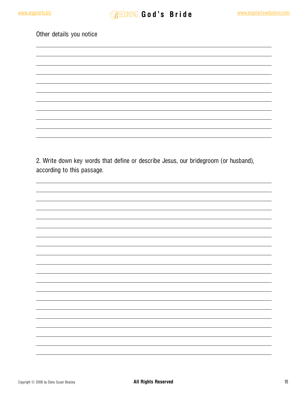Other details you notice

2. Write down key words that define or describe Jesus, our bridegroom (or husband), according to this passage.